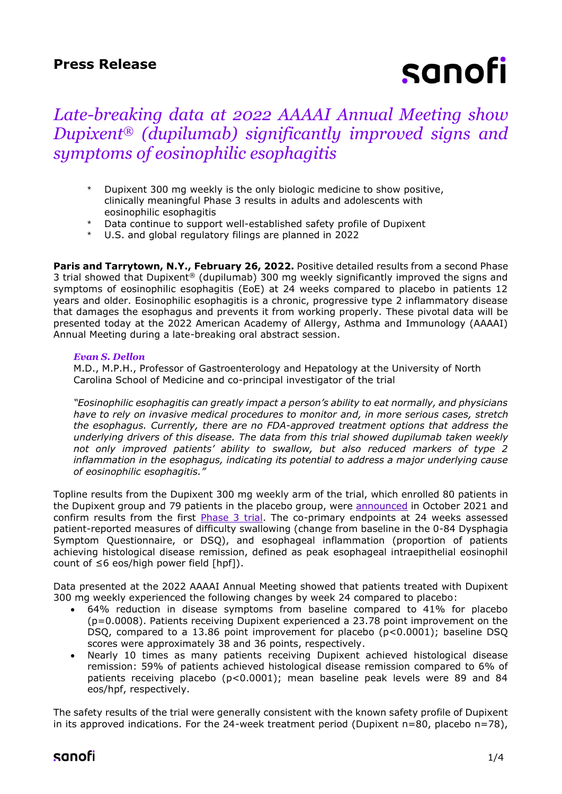## **Press Release**

# sanofi

# *Late-breaking data at 2022 AAAAI Annual Meeting show Dupixent® (dupilumab) significantly improved signs and symptoms of eosinophilic esophagitis*

- Dupixent 300 mg weekly is the only biologic medicine to show positive, clinically meaningful Phase 3 results in adults and adolescents with eosinophilic esophagitis
- Data continue to support well-established safety profile of Dupixent
- U.S. and global regulatory filings are planned in 2022

Paris and Tarrytown, N.Y., February 26, 2022. Positive detailed results from a second Phase 3 trial showed that Dupixent® (dupilumab) 300 mg weekly significantly improved the signs and symptoms of eosinophilic esophagitis (EoE) at 24 weeks compared to placebo in patients 12 years and older. Eosinophilic esophagitis is a chronic, progressive type 2 inflammatory disease that damages the esophagus and prevents it from working properly. These pivotal data will be presented today at the 2022 American Academy of Allergy, Asthma and Immunology (AAAAI) Annual Meeting during a late-breaking oral abstract session.

#### *Evan S. Dellon*

M.D., M.P.H., Professor of Gastroenterology and Hepatology at the University of North Carolina School of Medicine and co-principal investigator of the trial

*"Eosinophilic esophagitis can greatly impact a person's ability to eat normally, and physicians have to rely on invasive medical procedures to monitor and, in more serious cases, stretch the esophagus. Currently, there are no FDA-approved treatment options that address the underlying drivers of this disease. The data from this trial showed dupilumab taken weekly not only improved patients' ability to swallow, but also reduced markers of type 2 inflammation in the esophagus, indicating its potential to address a major underlying cause of eosinophilic esophagitis."* 

Topline results from the Dupixent 300 mg weekly arm of the trial, which enrolled 80 patients in the Dupixent group and 79 patients in the placebo group, were [announced](https://www.sanofi.com/en/media-room/press-releases/2021/2021-10-25-07-00-00-2319486) in October 2021 and confirm results from the first **Phase 3 trial**. The co-primary endpoints at 24 weeks assessed patient-reported measures of difficulty swallowing (change from baseline in the 0-84 Dysphagia Symptom Questionnaire, or DSQ), and esophageal inflammation (proportion of patients achieving histological disease remission, defined as peak esophageal intraepithelial eosinophil count of ≤6 eos/high power field [hpf]).

Data presented at the 2022 AAAAI Annual Meeting showed that patients treated with Dupixent 300 mg weekly experienced the following changes by week 24 compared to placebo:

- 64% reduction in disease symptoms from baseline compared to 41% for placebo (p=0.0008). Patients receiving Dupixent experienced a 23.78 point improvement on the DSQ, compared to a 13.86 point improvement for placebo (p<0.0001); baseline DSQ scores were approximately 38 and 36 points, respectively.
- Nearly 10 times as many patients receiving Dupixent achieved histological disease remission: 59% of patients achieved histological disease remission compared to 6% of patients receiving placebo (p<0.0001); mean baseline peak levels were 89 and 84 eos/hpf, respectively.

The safety results of the trial were generally consistent with the known safety profile of Dupixent in its approved indications. For the 24-week treatment period (Dupixent  $n=80$ , placebo  $n=78$ ),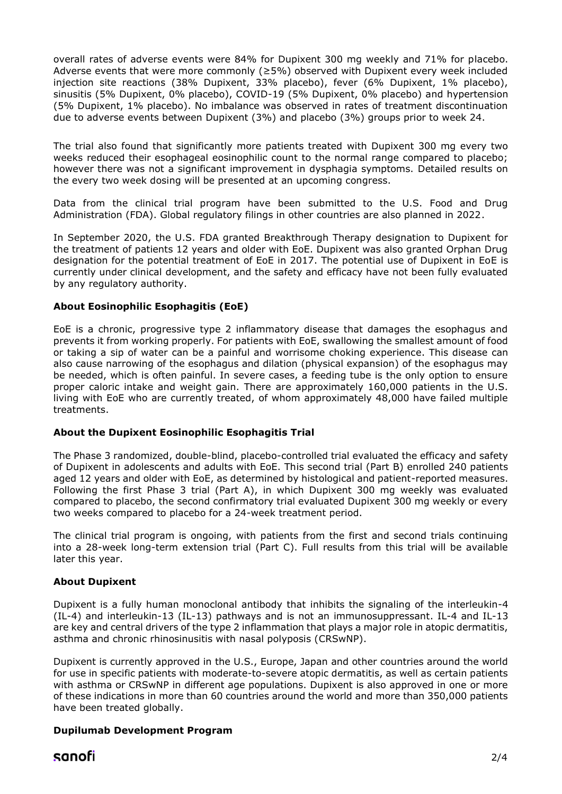overall rates of adverse events were 84% for Dupixent 300 mg weekly and 71% for placebo. Adverse events that were more commonly ( $\geq$ 5%) observed with Dupixent every week included injection site reactions (38% Dupixent, 33% placebo), fever (6% Dupixent, 1% placebo), sinusitis (5% Dupixent, 0% placebo), COVID-19 (5% Dupixent, 0% placebo) and hypertension (5% Dupixent, 1% placebo). No imbalance was observed in rates of treatment discontinuation due to adverse events between Dupixent (3%) and placebo (3%) groups prior to week 24.

The trial also found that significantly more patients treated with Dupixent 300 mg every two weeks reduced their esophageal eosinophilic count to the normal range compared to placebo; however there was not a significant improvement in dysphagia symptoms. Detailed results on the every two week dosing will be presented at an upcoming congress.

Data from the clinical trial program have been submitted to the U.S. Food and Drug Administration (FDA). Global regulatory filings in other countries are also planned in 2022.

In September 2020, the U.S. FDA granted Breakthrough Therapy designation to Dupixent for the treatment of patients 12 years and older with EoE. Dupixent was also granted Orphan Drug designation for the potential treatment of EoE in 2017. The potential use of Dupixent in EoE is currently under clinical development, and the safety and efficacy have not been fully evaluated by any regulatory authority.

### **About Eosinophilic Esophagitis (EoE)**

EoE is a chronic, progressive type 2 inflammatory disease that damages the esophagus and prevents it from working properly. For patients with EoE, swallowing the smallest amount of food or taking a sip of water can be a painful and worrisome choking experience. This disease can also cause narrowing of the esophagus and dilation (physical expansion) of the esophagus may be needed, which is often painful. In severe cases, a feeding tube is the only option to ensure proper caloric intake and weight gain. There are approximately 160,000 patients in the U.S. living with EoE who are currently treated, of whom approximately 48,000 have failed multiple treatments.

#### **About the Dupixent Eosinophilic Esophagitis Trial**

The Phase 3 randomized, double-blind, placebo-controlled trial evaluated the efficacy and safety of Dupixent in adolescents and adults with EoE. This second trial (Part B) enrolled 240 patients aged 12 years and older with EoE, as determined by histological and patient-reported measures. Following the first Phase 3 trial (Part A), in which Dupixent 300 mg weekly was evaluated compared to placebo, the second confirmatory trial evaluated Dupixent 300 mg weekly or every two weeks compared to placebo for a 24-week treatment period.

The clinical trial program is ongoing, with patients from the first and second trials continuing into a 28-week long-term extension trial (Part C). Full results from this trial will be available later this year.

#### **About Dupixent**

Dupixent is a fully human monoclonal antibody that inhibits the signaling of the interleukin-4 (IL-4) and interleukin-13 (IL-13) pathways and is not an immunosuppressant. IL-4 and IL-13 are key and central drivers of the type 2 inflammation that plays a major role in atopic dermatitis, asthma and chronic rhinosinusitis with nasal polyposis (CRSwNP).

Dupixent is currently approved in the U.S., Europe, Japan and other countries around the world for use in specific patients with moderate-to-severe atopic dermatitis, as well as certain patients with asthma or CRSwNP in different age populations. Dupixent is also approved in one or more of these indications in more than 60 countries around the world and more than 350,000 patients have been treated globally.

## **Dupilumab Development Program**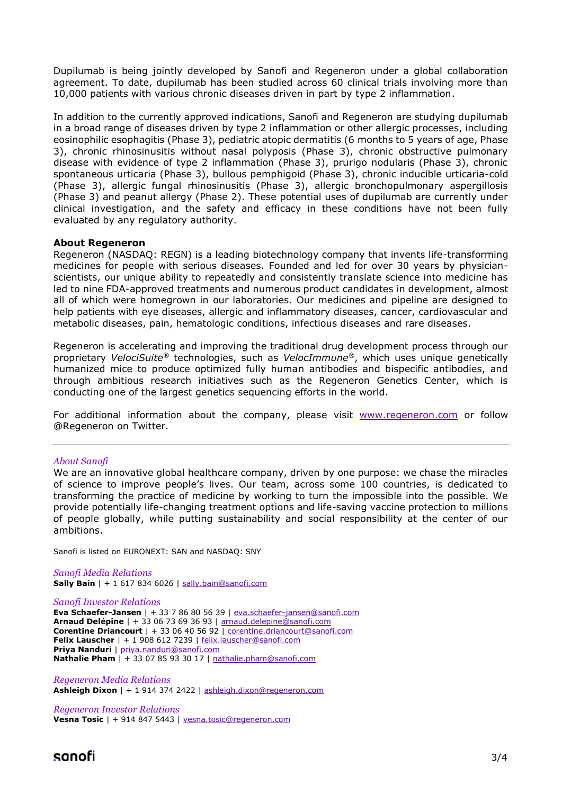Dupilumab is being jointly developed by Sanofi and Regeneron under a global collaboration agreement. To date, dupilumab has been studied across 60 clinical trials involving more than 10,000 patients with various chronic diseases driven in part by type 2 inflammation.

In addition to the currently approved indications, Sanofi and Regeneron are studying dupilumab in a broad range of diseases driven by type 2 inflammation or other allergic processes, including eosinophilic esophagitis (Phase 3), pediatric atopic dermatitis (6 months to 5 years of age, Phase 3), chronic rhinosinusitis without nasal polyposis (Phase 3), chronic obstructive pulmonary disease with evidence of type 2 inflammation (Phase 3), prurigo nodularis (Phase 3), chronic spontaneous urticaria (Phase 3), bullous pemphigoid (Phase 3), chronic inducible urticaria-cold (Phase 3), allergic fungal rhinosinusitis (Phase 3), allergic bronchopulmonary aspergillosis (Phase 3) and peanut allergy (Phase 2). These potential uses of dupilumab are currently under clinical investigation, and the safety and efficacy in these conditions have not been fully evaluated by any regulatory authority.

#### **About Regeneron**

Regeneron (NASDAQ: REGN) is a leading biotechnology company that invents life-transforming medicines for people with serious diseases. Founded and led for over 30 years by physicianscientists, our unique ability to repeatedly and consistently translate science into medicine has led to nine FDA-approved treatments and numerous product candidates in development, almost all of which were homegrown in our laboratories. Our medicines and pipeline are designed to help patients with eye diseases, allergic and inflammatory diseases, cancer, cardiovascular and metabolic diseases, pain, hematologic conditions, infectious diseases and rare diseases.

Regeneron is accelerating and improving the traditional drug development process through our proprietary *VelociSuite®* technologies, such as *VelocImmune®*, which uses unique genetically humanized mice to produce optimized fully human antibodies and bispecific antibodies, and through ambitious research initiatives such as the Regeneron Genetics Center, which is conducting one of the largest genetics sequencing efforts in the world.

For additional information about the company, please visit [www.regeneron.com](http://www.regeneron.com/) or follow @Regeneron on Twitter.

#### *About Sanofi*

We are an innovative global healthcare company, driven by one purpose: we chase the miracles of science to improve people's lives. Our team, across some 100 countries, is dedicated to transforming the practice of medicine by working to turn the impossible into the possible. We provide potentially life-changing treatment options and life-saving vaccine protection to millions of people globally, while putting sustainability and social responsibility at the center of our ambitions.

Sanofi is listed on EURONEXT: SAN and NASDAQ: SNY

*Sanofi Media Relations* **Sally Bain** | + 1 617 834 6026 | [sally.bain@sanofi.com](mailto:sally.bain@sanofi.com)

*Sanofi Investor Relations*

**Eva Schaefer-Jansen** | + 33 7 86 80 56 39 | [eva.schaefer-jansen@sanofi.com](mailto:eva.schaefer-jansen@sanofi.com) **Arnaud Delépine** | + 33 06 73 69 36 93 | [arnaud.delepine@sanofi.com](mailto:arnaud.delepine@sanofi.com) **Corentine Driancourt** | + 33 06 40 56 92 | [corentine.driancourt@sanofi.com](mailto:corentine.driancourt@sanofi.com) **Felix Lauscher** | + 1 908 612 7239 | [felix.lauscher@sanofi.com](mailto:felix.lauscher@sanofi.com) **Priya Nanduri** | [priya.nanduri@sanofi.com](mailto:priya.nanduri@sanofi.com) **Nathalie Pham** | + 33 07 85 93 30 17 | [nathalie.pham@sanofi.com](mailto:nathalie.pham@sanofi.com)

*Regeneron Media Relations* **Ashleigh Dixon** | + 1 914 374 2422 | [ashleigh.dixon@regeneron.com](mailto:ashleigh.dixon@regeneron.com)

*Regeneron Investor Relations* **Vesna Tosic** | + 914 847 5443 | [vesna.tosic@regeneron.com](mailto:vesna.tosic@regeneron.com)